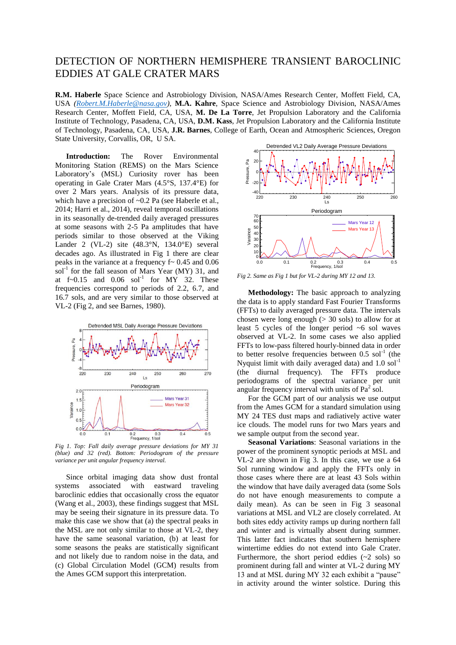## DETECTION OF NORTHERN HEMISPHERE TRANSIENT BAROCLINIC EDDIES AT GALE CRATER MARS

**R.M. Haberle** Space Science and Astrobiology Division, NASA/Ames Research Center, Moffett Field, CA, USA *[\(Robert.M.Haberle@nasa.gov\)](mailto:Robert.M.Haberle@nasa.gov)*, **M.A. Kahre**, Space Science and Astrobiology Division, NASA/Ames Research Center, Moffett Field, CA, USA, **M. De La Torre**, Jet Propulsion Laboratory and the California Institute of Technology, Pasadena, CA, USA, **D.M. Kass**, Jet Propulsion Laboratory and the California Institute of Technology, Pasadena, CA, USA, **J.R. Barnes**, College of Earth, Ocean and Atmospheric Sciences, Oregon State University, Corvallis, OR, U SA.

**Introduction:** The Rover Environmental Monitoring Station (REMS) on the Mars Science Laboratory's (MSL) Curiosity rover has been operating in Gale Crater Mars (4.5°S, 137.4°E) for over 2 Mars years. Analysis of its pressure data, which have a precision of ~0.2 Pa (see Haberle et al., 2014; Harri et al., 2014), reveal temporal oscillations in its seasonally de-trended daily averaged pressures at some seasons with 2-5 Pa amplitudes that have periods similar to those observed at the Viking Lander 2 (VL-2) site (48.3°N, 134.0°E) several decades ago. As illustrated in Fig 1 there are clear peaks in the variance at a frequency  $f \sim 0.45$  and  $0.06$  $sol<sup>-1</sup>$  for the fall season of Mars Year (MY) 31, and at  $f \sim 0.15$  and  $0.06$  sol<sup>-1</sup> for MY 32. These frequencies correspond to periods of 2.2, 6.7, and 16.7 sols, and are very similar to those observed at VL-2 (Fig 2, and see Barnes, 1980).



*Fig 1. Top: Fall daily average pressure deviations for MY 31 (blue) and 32 (red). Bottom: Periodogram of the pressure variance per unit angular frequency interval.* 

Since orbital imaging data show dust frontal systems associated with eastward traveling baroclinic eddies that occasionally cross the equator (Wang et al., 2003), these findings suggest that MSL may be seeing their signature in its pressure data. To make this case we show that (a) the spectral peaks in the MSL are not only similar to those at VL-2, they have the same seasonal variation, (b) at least for some seasons the peaks are statistically significant and not likely due to random noise in the data, and (c) Global Circulation Model (GCM) results from the Ames GCM support this interpretation.



*Fig 2. Same as Fig 1 but for VL-2 during MY 12 and 13.* 

**Methodology:** The basic approach to analyzing the data is to apply standard Fast Fourier Transforms (FFTs) to daily averaged pressure data. The intervals chosen were long enough  $(> 30 \text{ sols})$  to allow for at least 5 cycles of the longer period ~6 sol waves observed at VL-2. In some cases we also applied FFTs to low-pass filtered hourly-binned data in order to better resolve frequencies between  $0.5$  sol<sup>-1</sup> (the Nyquist limit with daily averaged data) and  $1.0$  sol<sup>-1</sup> (the diurnal frequency). The FFTs produce periodograms of the spectral variance per unit angular frequency interval with units of  $Pa^2$  sol.

For the GCM part of our analysis we use output from the Ames GCM for a standard simulation using MY 24 TES dust maps and radiatively active water ice clouds. The model runs for two Mars years and we sample output from the second year.

**Seasonal Variations**: Seasonal variations in the power of the prominent synoptic periods at MSL and VL-2 are shown in Fig 3. In this case, we use a 64 Sol running window and apply the FFTs only in those cases where there are at least 43 Sols within the window that have daily averaged data (some Sols do not have enough measurements to compute a daily mean). As can be seen in Fig 3 seasonal variations at MSL and VL2 are closely correlated. At both sites eddy activity ramps up during northern fall and winter and is virtually absent during summer. This latter fact indicates that southern hemisphere wintertime eddies do not extend into Gale Crater. Furthermore, the short period eddies  $(-2 \text{ sols})$  so prominent during fall and winter at VL-2 during MY 13 and at MSL during MY 32 each exhibit a "pause" in activity around the winter solstice. During this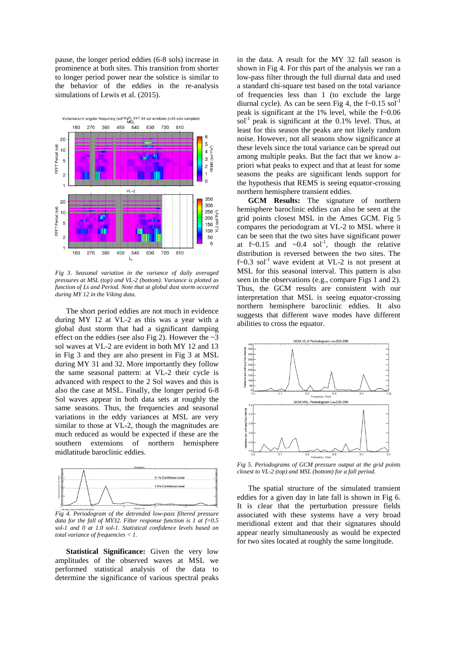pause, the longer period eddies (6-8 sols) increase in prominence at both sites. This transition from shorter to longer period power near the solstice is similar to the behavior of the eddies in the re-analysis simulations of Lewis et al. (2015).



*Fig 3. Seasonal variation in the variance of daily averaged pressures at MSL (top) and VL-2 (bottom). Variance is plotted as function of Ls and Period. Note that at global dust storm occurred during MY 12 in the Viking data.* 

The short period eddies are not much in evidence during MY 12 at VL-2 as this was a year with a global dust storm that had a significant damping effect on the eddies (see also Fig 2). However the  $\sim$ 3 sol waves at VL-2 are evident in both MY 12 and 13 in Fig 3 and they are also present in Fig 3 at MSL during MY 31 and 32. More importantly they follow the same seasonal pattern: at VL-2 their cycle is advanced with respect to the 2 Sol waves and this is also the case at MSL. Finally, the longer period 6-8 Sol waves appear in both data sets at roughly the same seasons. Thus, the frequencies and seasonal variations in the eddy variances at MSL are very similar to those at VL-2, though the magnitudes are much reduced as would be expected if these are the southern extensions of northern hemisphere midlatitude baroclinic eddies.



*Fig 4. Periodogram of the detrended low-pass filtered pressure data for the fall of MY32. Filter response function is 1 at f=0.5 sol-1 and 0 at 1.0 sol-1. Statistical confidence levels based on total variance of frequencies < 1.* 

**Statistical Significance:** Given the very low amplitudes of the observed waves at MSL we performed statistical analysis of the data to determine the significance of various spectral peaks

in the data. A result for the MY 32 fall season is shown in Fig 4. For this part of the analysis we ran a low-pass filter through the full diurnal data and used a standard chi-square test based on the total variance of frequencies less than 1 (to exclude the large diurnal cycle). As can be seen Fig 4, the  $f \sim 0.15$  sol<sup>-1</sup> peak is significant at the 1% level, while the f~0.06  $sol<sup>-1</sup>$  peak is significant at the 0.1% level. Thus, at least for this season the peaks are not likely random noise. However, not all seasons show significance at these levels since the total variance can be spread out among multiple peaks. But the fact that we know apriori what peaks to expect and that at least for some seasons the peaks are significant lends support for the hypothesis that REMS is seeing equator-crossing northern hemisphere transient eddies.

**GCM Results:** The signature of northern hemisphere baroclinic eddies can also be seen at the grid points closest MSL in the Ames GCM. Fig 5 compares the periodogram at VL-2 to MSL where it can be seen that the two sites have significant power at  $f \sim 0.15$  and  $\sim 0.4$  sol<sup>-1</sup>, though the relative distribution is reversed between the two sites. The  $f \sim 0.3$  sol<sup>-1</sup> wave evident at VL-2 is not present at MSL for this seasonal interval. This pattern is also seen in the observations (e.g., compare Figs 1 and 2). Thus, the GCM results are consistent with our interpretation that MSL is seeing equator-crossing northern hemisphere baroclinic eddies. It also suggests that different wave modes have different abilities to cross the equator.



*Fig 5. Periodograms of GCM pressure output at the grid points closest to VL-2 (top) and MSL (bottom) for a fall period.* 

The spatial structure of the simulated transient eddies for a given day in late fall is shown in Fig 6. It is clear that the perturbation pressure fields associated with these systems have a very broad meridional extent and that their signatures should appear nearly simultaneously as would be expected for two sites located at roughly the same longitude.